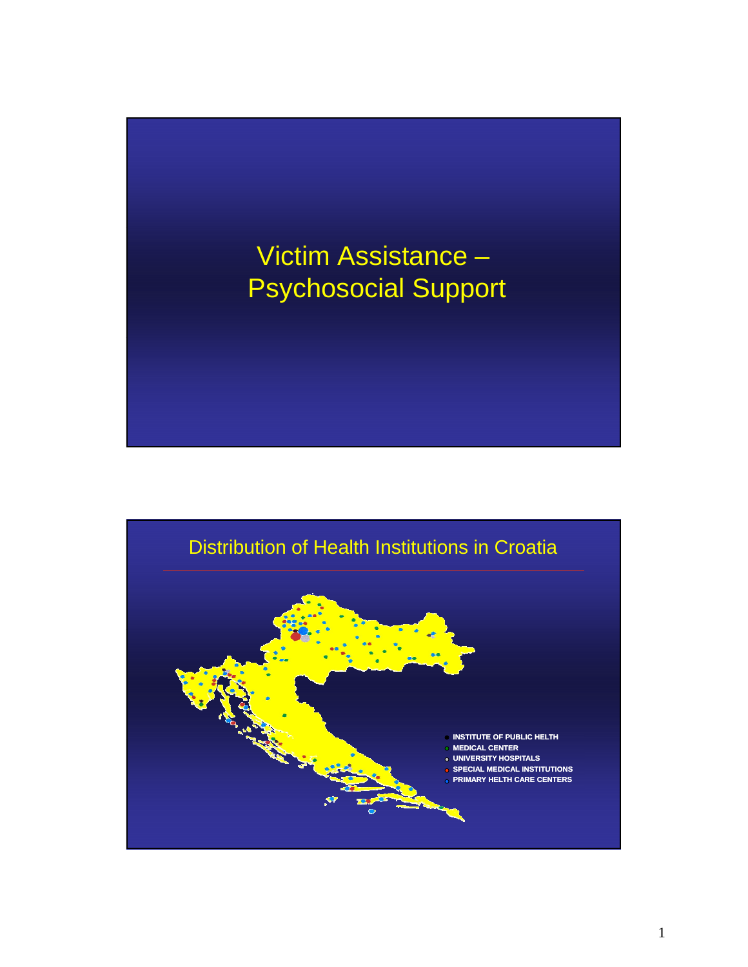

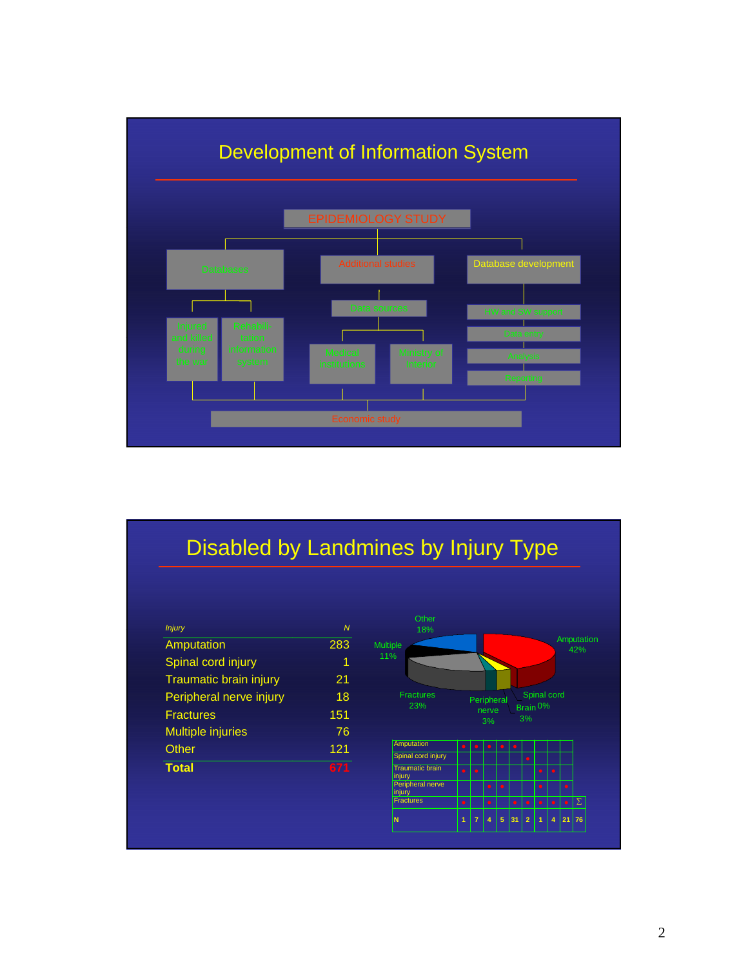

## Disabled by Landmines by Injury Type

| <b>Injury</b>                 | $\mathbf{M}$ |
|-------------------------------|--------------|
| Amputation                    | 283          |
| Spinal cord injury            | 1            |
| <b>Traumatic brain injury</b> | 21           |
| Peripheral nerve injury       | 18           |
| <b>Fractures</b>              | 151          |
| <b>Multiple injuries</b>      | 76           |
| Other                         | 121          |
| <b>Total</b>                  | 671          |

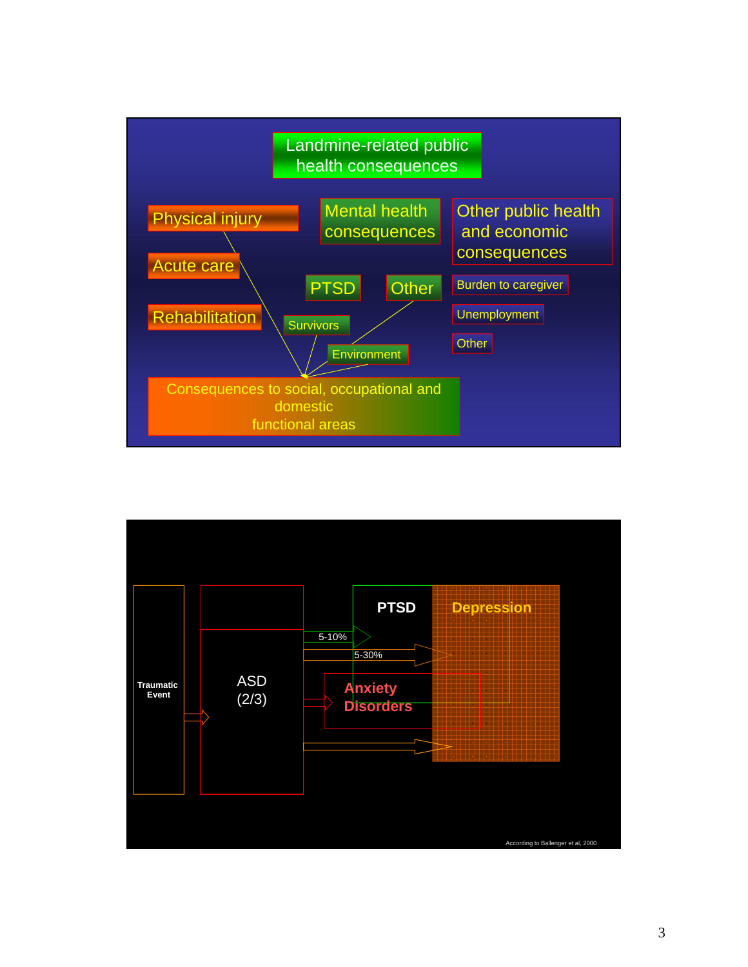

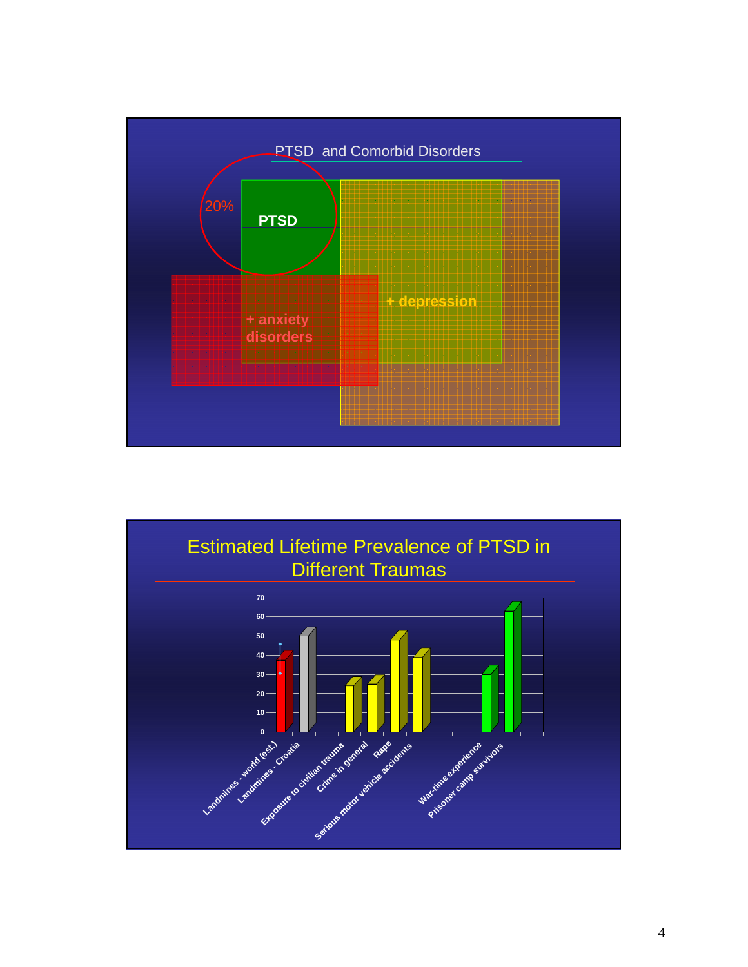

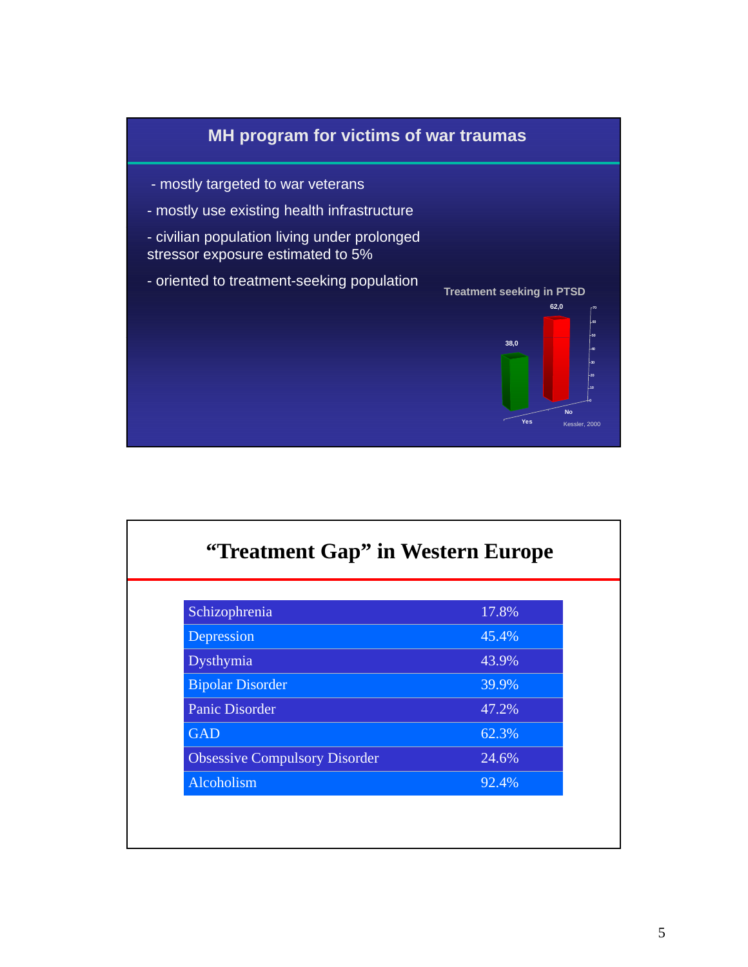

| "Treatment Gap" in Western Europe    |       |  |  |
|--------------------------------------|-------|--|--|
| Schizophrenia                        | 17.8% |  |  |
| Depression                           | 45.4% |  |  |
| Dysthymia                            | 43.9% |  |  |
| <b>Bipolar Disorder</b>              | 39.9% |  |  |
| <b>Panic Disorder</b>                | 47.2% |  |  |
| <b>GAD</b>                           | 62.3% |  |  |
| <b>Obsessive Compulsory Disorder</b> | 24.6% |  |  |
| Alcoholism                           | 92.4% |  |  |